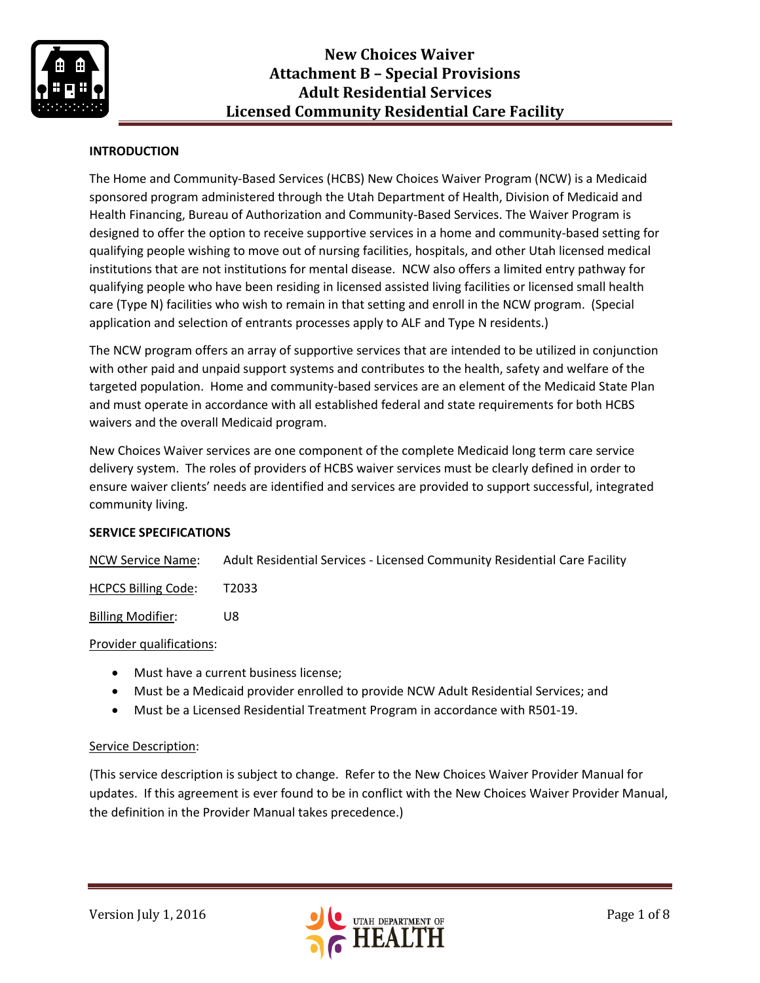

### **INTRODUCTION**

The Home and Community-Based Services (HCBS) New Choices Waiver Program (NCW) is a Medicaid sponsored program administered through the Utah Department of Health, Division of Medicaid and Health Financing, Bureau of Authorization and Community-Based Services. The Waiver Program is designed to offer the option to receive supportive services in a home and community-based setting for qualifying people wishing to move out of nursing facilities, hospitals, and other Utah licensed medical institutions that are not institutions for mental disease. NCW also offers a limited entry pathway for qualifying people who have been residing in licensed assisted living facilities or licensed small health care (Type N) facilities who wish to remain in that setting and enroll in the NCW program. (Special application and selection of entrants processes apply to ALF and Type N residents.)

The NCW program offers an array of supportive services that are intended to be utilized in conjunction with other paid and unpaid support systems and contributes to the health, safety and welfare of the targeted population. Home and community-based services are an element of the Medicaid State Plan and must operate in accordance with all established federal and state requirements for both HCBS waivers and the overall Medicaid program.

New Choices Waiver services are one component of the complete Medicaid long term care service delivery system. The roles of providers of HCBS waiver services must be clearly defined in order to ensure waiver clients' needs are identified and services are provided to support successful, integrated community living.

#### **SERVICE SPECIFICATIONS**

NCW Service Name: Adult Residential Services - Licensed Community Residential Care Facility

HCPCS Billing Code: T2033

Billing Modifier: U8

#### Provider qualifications:

- Must have a current business license;
- Must be a Medicaid provider enrolled to provide NCW Adult Residential Services; and
- Must be a Licensed Residential Treatment Program in accordance with R501-19.

#### Service Description:

(This service description is subject to change. Refer to the New Choices Waiver Provider Manual for updates. If this agreement is ever found to be in conflict with the New Choices Waiver Provider Manual, the definition in the Provider Manual takes precedence.)

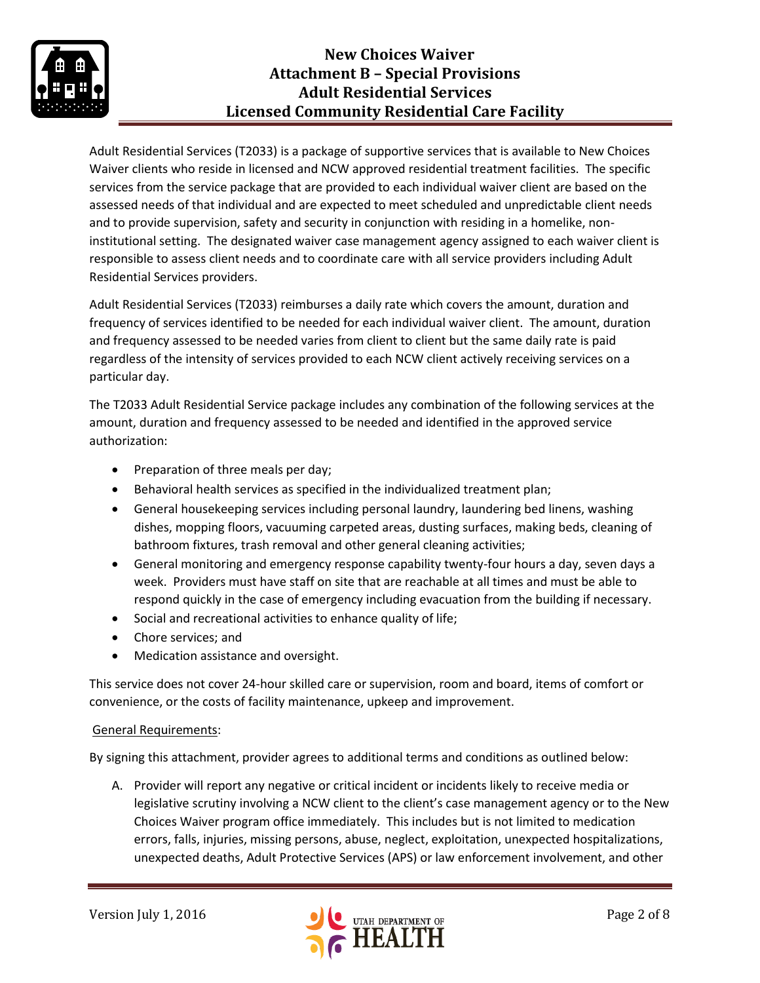

Adult Residential Services (T2033) is a package of supportive services that is available to New Choices Waiver clients who reside in licensed and NCW approved residential treatment facilities. The specific services from the service package that are provided to each individual waiver client are based on the assessed needs of that individual and are expected to meet scheduled and unpredictable client needs and to provide supervision, safety and security in conjunction with residing in a homelike, noninstitutional setting. The designated waiver case management agency assigned to each waiver client is responsible to assess client needs and to coordinate care with all service providers including Adult Residential Services providers.

Adult Residential Services (T2033) reimburses a daily rate which covers the amount, duration and frequency of services identified to be needed for each individual waiver client. The amount, duration and frequency assessed to be needed varies from client to client but the same daily rate is paid regardless of the intensity of services provided to each NCW client actively receiving services on a particular day.

The T2033 Adult Residential Service package includes any combination of the following services at the amount, duration and frequency assessed to be needed and identified in the approved service authorization:

- Preparation of three meals per day;
- Behavioral health services as specified in the individualized treatment plan;
- General housekeeping services including personal laundry, laundering bed linens, washing dishes, mopping floors, vacuuming carpeted areas, dusting surfaces, making beds, cleaning of bathroom fixtures, trash removal and other general cleaning activities;
- General monitoring and emergency response capability twenty-four hours a day, seven days a week. Providers must have staff on site that are reachable at all times and must be able to respond quickly in the case of emergency including evacuation from the building if necessary.
- Social and recreational activities to enhance quality of life;
- Chore services; and
- Medication assistance and oversight.

This service does not cover 24-hour skilled care or supervision, room and board, items of comfort or convenience, or the costs of facility maintenance, upkeep and improvement.

# General Requirements:

By signing this attachment, provider agrees to additional terms and conditions as outlined below:

A. Provider will report any negative or critical incident or incidents likely to receive media or legislative scrutiny involving a NCW client to the client's case management agency or to the New Choices Waiver program office immediately. This includes but is not limited to medication errors, falls, injuries, missing persons, abuse, neglect, exploitation, unexpected hospitalizations, unexpected deaths, Adult Protective Services (APS) or law enforcement involvement, and other

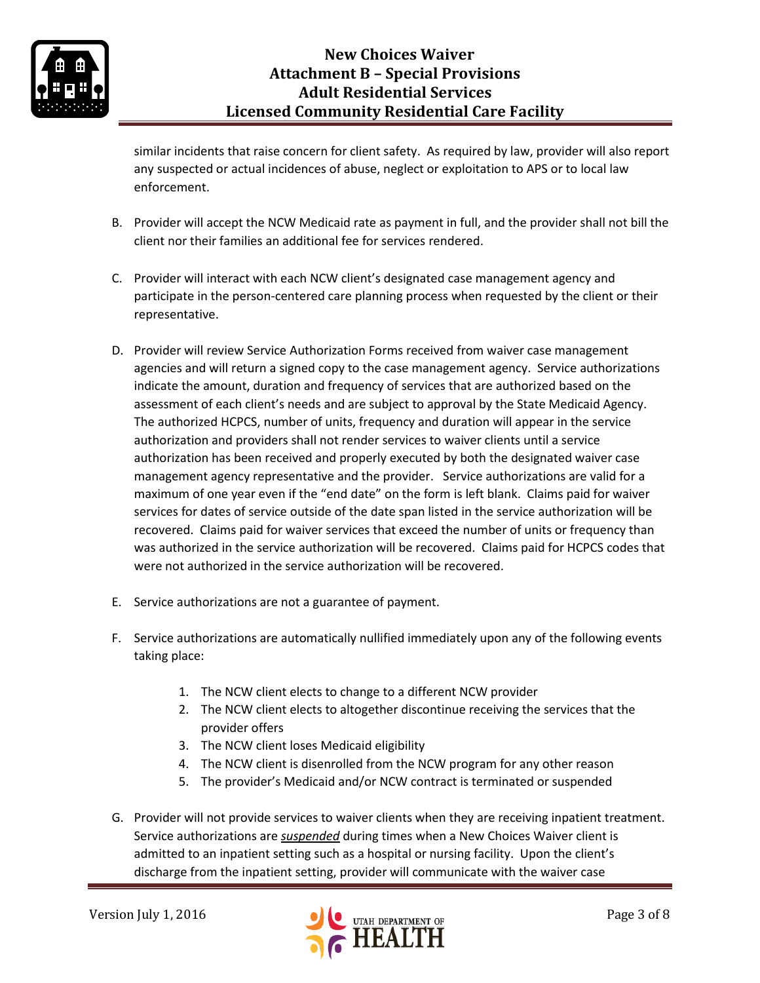

similar incidents that raise concern for client safety. As required by law, provider will also report any suspected or actual incidences of abuse, neglect or exploitation to APS or to local law enforcement.

- B. Provider will accept the NCW Medicaid rate as payment in full, and the provider shall not bill the client nor their families an additional fee for services rendered.
- C. Provider will interact with each NCW client's designated case management agency and participate in the person-centered care planning process when requested by the client or their representative.
- D. Provider will review Service Authorization Forms received from waiver case management agencies and will return a signed copy to the case management agency. Service authorizations indicate the amount, duration and frequency of services that are authorized based on the assessment of each client's needs and are subject to approval by the State Medicaid Agency. The authorized HCPCS, number of units, frequency and duration will appear in the service authorization and providers shall not render services to waiver clients until a service authorization has been received and properly executed by both the designated waiver case management agency representative and the provider. Service authorizations are valid for a maximum of one year even if the "end date" on the form is left blank. Claims paid for waiver services for dates of service outside of the date span listed in the service authorization will be recovered. Claims paid for waiver services that exceed the number of units or frequency than was authorized in the service authorization will be recovered. Claims paid for HCPCS codes that were not authorized in the service authorization will be recovered.
- E. Service authorizations are not a guarantee of payment.
- F. Service authorizations are automatically nullified immediately upon any of the following events taking place:
	- 1. The NCW client elects to change to a different NCW provider
	- 2. The NCW client elects to altogether discontinue receiving the services that the provider offers
	- 3. The NCW client loses Medicaid eligibility
	- 4. The NCW client is disenrolled from the NCW program for any other reason
	- 5. The provider's Medicaid and/or NCW contract is terminated or suspended
- G. Provider will not provide services to waiver clients when they are receiving inpatient treatment. Service authorizations are *suspended* during times when a New Choices Waiver client is admitted to an inpatient setting such as a hospital or nursing facility. Upon the client's discharge from the inpatient setting, provider will communicate with the waiver case

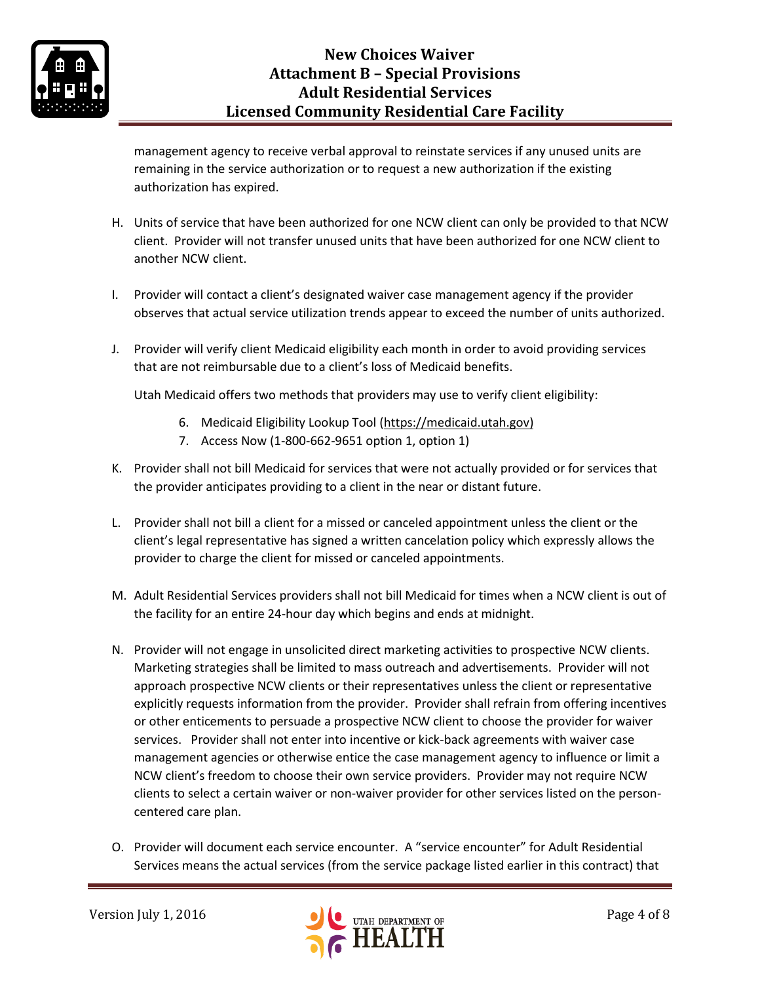

management agency to receive verbal approval to reinstate services if any unused units are remaining in the service authorization or to request a new authorization if the existing authorization has expired.

- H. Units of service that have been authorized for one NCW client can only be provided to that NCW client. Provider will not transfer unused units that have been authorized for one NCW client to another NCW client.
- I. Provider will contact a client's designated waiver case management agency if the provider observes that actual service utilization trends appear to exceed the number of units authorized.
- J. Provider will verify client Medicaid eligibility each month in order to avoid providing services that are not reimbursable due to a client's loss of Medicaid benefits.

Utah Medicaid offers two methods that providers may use to verify client eligibility:

- 6. Medicaid Eligibility Lookup Tool [\(https://medicaid.utah.gov\)](https://medicaid.utah.gov/)
- 7. Access Now (1-800-662-9651 option 1, option 1)
- K. Provider shall not bill Medicaid for services that were not actually provided or for services that the provider anticipates providing to a client in the near or distant future.
- L. Provider shall not bill a client for a missed or canceled appointment unless the client or the client's legal representative has signed a written cancelation policy which expressly allows the provider to charge the client for missed or canceled appointments.
- M. Adult Residential Services providers shall not bill Medicaid for times when a NCW client is out of the facility for an entire 24-hour day which begins and ends at midnight.
- N. Provider will not engage in unsolicited direct marketing activities to prospective NCW clients. Marketing strategies shall be limited to mass outreach and advertisements. Provider will not approach prospective NCW clients or their representatives unless the client or representative explicitly requests information from the provider. Provider shall refrain from offering incentives or other enticements to persuade a prospective NCW client to choose the provider for waiver services. Provider shall not enter into incentive or kick-back agreements with waiver case management agencies or otherwise entice the case management agency to influence or limit a NCW client's freedom to choose their own service providers. Provider may not require NCW clients to select a certain waiver or non-waiver provider for other services listed on the personcentered care plan.
- O. Provider will document each service encounter. A "service encounter" for Adult Residential Services means the actual services (from the service package listed earlier in this contract) that

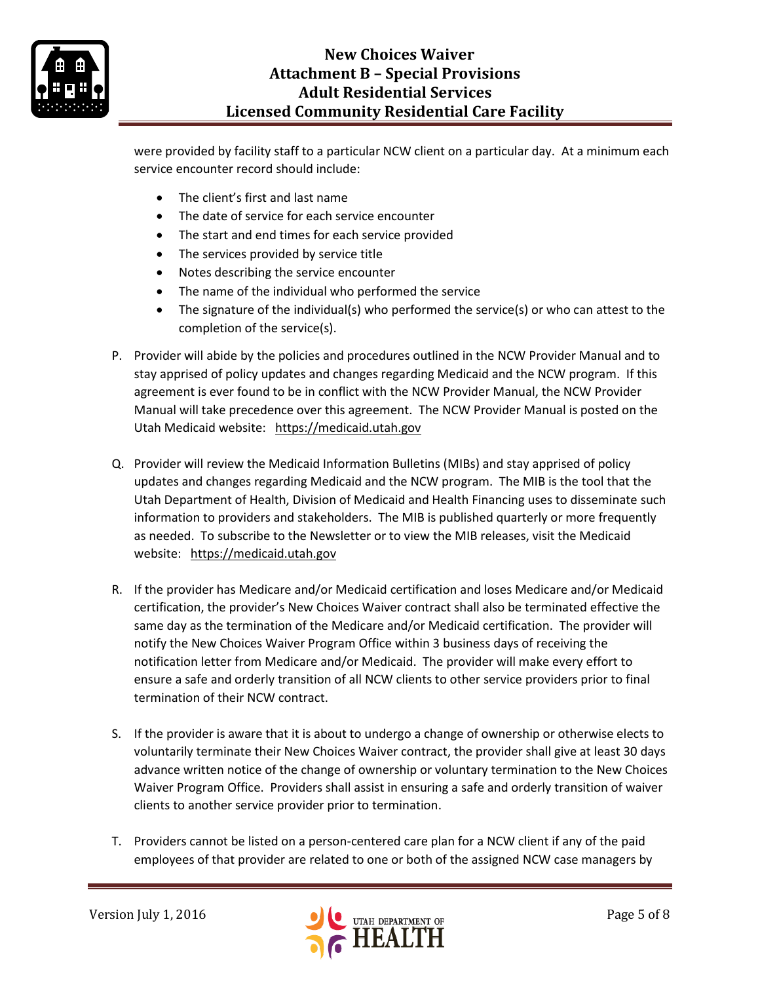

# **New Choices Waiver Attachment B – Special Provisions Adult Residential Services Licensed Community Residential Care Facility**

were provided by facility staff to a particular NCW client on a particular day. At a minimum each service encounter record should include:

- The client's first and last name
- The date of service for each service encounter
- The start and end times for each service provided
- The services provided by service title
- Notes describing the service encounter
- The name of the individual who performed the service
- The signature of the individual(s) who performed the service(s) or who can attest to the completion of the service(s).
- P. Provider will abide by the policies and procedures outlined in the NCW Provider Manual and to stay apprised of policy updates and changes regarding Medicaid and the NCW program. If this agreement is ever found to be in conflict with the NCW Provider Manual, the NCW Provider Manual will take precedence over this agreement. The NCW Provider Manual is posted on the Utah Medicaid website: [https://medicaid.utah.gov](https://medicaid.utah.gov/)
- Q. Provider will review the Medicaid Information Bulletins (MIBs) and stay apprised of policy updates and changes regarding Medicaid and the NCW program. The MIB is the tool that the Utah Department of Health, Division of Medicaid and Health Financing uses to disseminate such information to providers and stakeholders. The MIB is published quarterly or more frequently as needed. To subscribe to the Newsletter or to view the MIB releases, visit the Medicaid website: [https://medicaid.utah.gov](https://medicaid.utah.gov/)
- R. If the provider has Medicare and/or Medicaid certification and loses Medicare and/or Medicaid certification, the provider's New Choices Waiver contract shall also be terminated effective the same day as the termination of the Medicare and/or Medicaid certification. The provider will notify the New Choices Waiver Program Office within 3 business days of receiving the notification letter from Medicare and/or Medicaid. The provider will make every effort to ensure a safe and orderly transition of all NCW clients to other service providers prior to final termination of their NCW contract.
- S. If the provider is aware that it is about to undergo a change of ownership or otherwise elects to voluntarily terminate their New Choices Waiver contract, the provider shall give at least 30 days advance written notice of the change of ownership or voluntary termination to the New Choices Waiver Program Office. Providers shall assist in ensuring a safe and orderly transition of waiver clients to another service provider prior to termination.
- T. Providers cannot be listed on a person-centered care plan for a NCW client if any of the paid employees of that provider are related to one or both of the assigned NCW case managers by

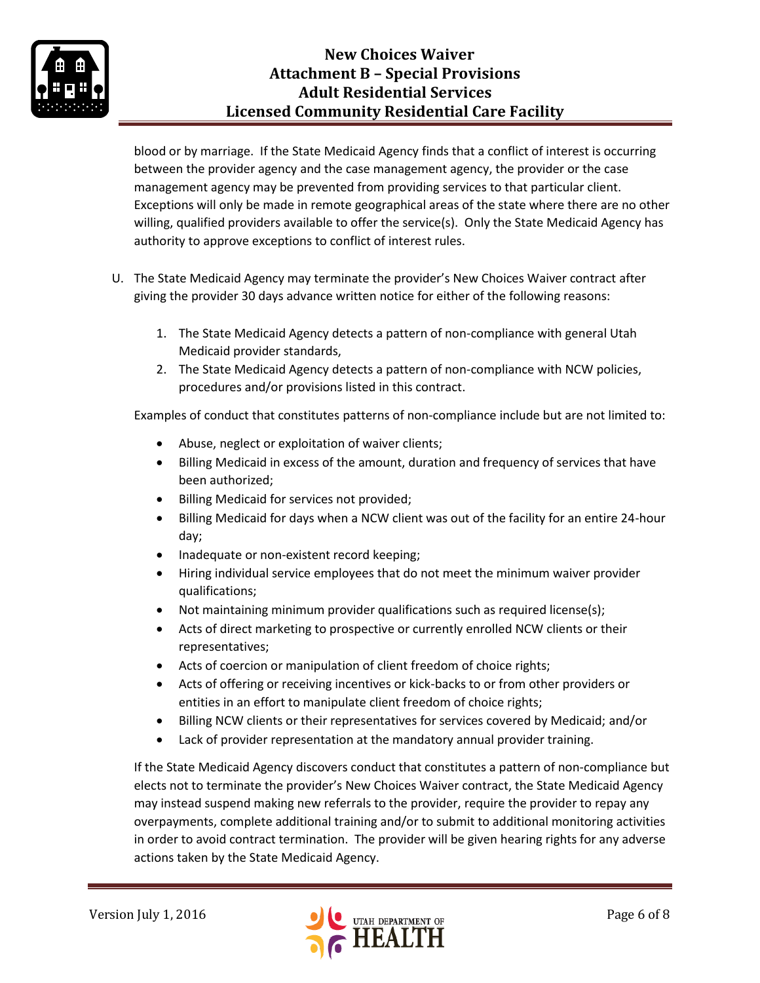

blood or by marriage. If the State Medicaid Agency finds that a conflict of interest is occurring between the provider agency and the case management agency, the provider or the case management agency may be prevented from providing services to that particular client. Exceptions will only be made in remote geographical areas of the state where there are no other willing, qualified providers available to offer the service(s). Only the State Medicaid Agency has authority to approve exceptions to conflict of interest rules.

- U. The State Medicaid Agency may terminate the provider's New Choices Waiver contract after giving the provider 30 days advance written notice for either of the following reasons:
	- 1. The State Medicaid Agency detects a pattern of non-compliance with general Utah Medicaid provider standards,
	- 2. The State Medicaid Agency detects a pattern of non-compliance with NCW policies, procedures and/or provisions listed in this contract.

Examples of conduct that constitutes patterns of non-compliance include but are not limited to:

- Abuse, neglect or exploitation of waiver clients;
- Billing Medicaid in excess of the amount, duration and frequency of services that have been authorized;
- Billing Medicaid for services not provided;
- Billing Medicaid for days when a NCW client was out of the facility for an entire 24-hour day;
- Inadequate or non-existent record keeping;
- Hiring individual service employees that do not meet the minimum waiver provider qualifications;
- Not maintaining minimum provider qualifications such as required license(s);
- Acts of direct marketing to prospective or currently enrolled NCW clients or their representatives;
- Acts of coercion or manipulation of client freedom of choice rights;
- Acts of offering or receiving incentives or kick-backs to or from other providers or entities in an effort to manipulate client freedom of choice rights;
- Billing NCW clients or their representatives for services covered by Medicaid; and/or
- Lack of provider representation at the mandatory annual provider training.

If the State Medicaid Agency discovers conduct that constitutes a pattern of non-compliance but elects not to terminate the provider's New Choices Waiver contract, the State Medicaid Agency may instead suspend making new referrals to the provider, require the provider to repay any overpayments, complete additional training and/or to submit to additional monitoring activities in order to avoid contract termination. The provider will be given hearing rights for any adverse actions taken by the State Medicaid Agency.

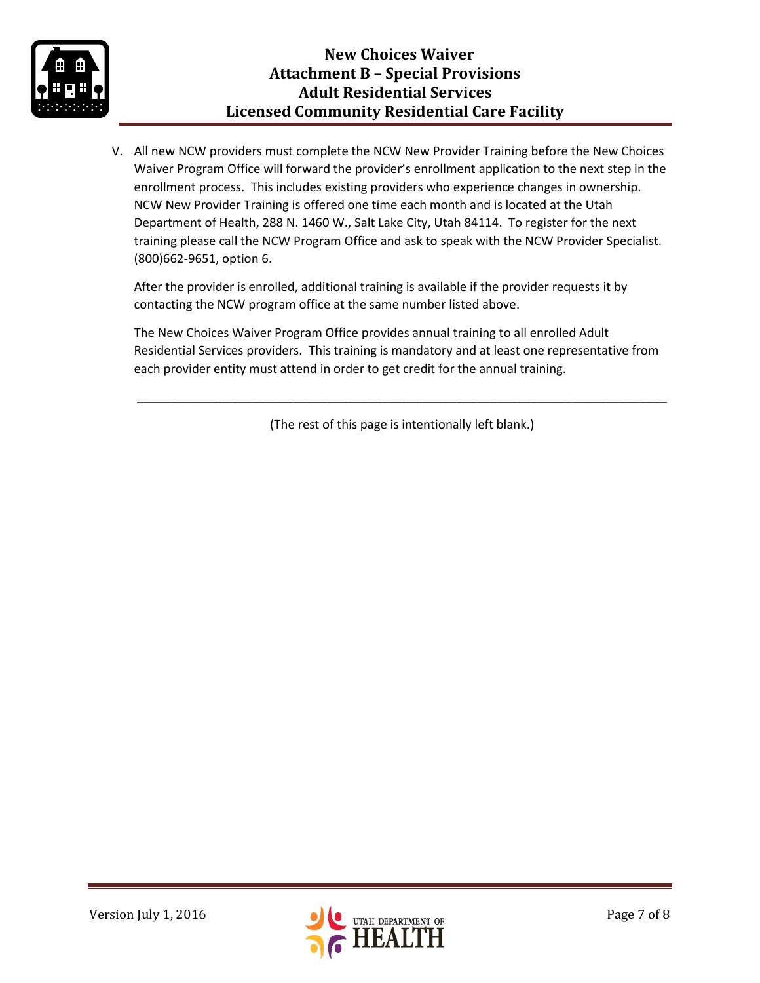

V. All new NCW providers must complete the NCW New Provider Training before the New Choices Waiver Program Office will forward the provider's enrollment application to the next step in the enrollment process. This includes existing providers who experience changes in ownership. NCW New Provider Training is offered one time each month and is located at the Utah Department of Health, 288 N. 1460 W., Salt Lake City, Utah 84114. To register for the next training please call the NCW Program Office and ask to speak with the NCW Provider Specialist. (800)662-9651, option 6.

After the provider is enrolled, additional training is available if the provider requests it by contacting the NCW program office at the same number listed above.

The New Choices Waiver Program Office provides annual training to all enrolled Adult Residential Services providers. This training is mandatory and at least one representative from each provider entity must attend in order to get credit for the annual training.

(The rest of this page is intentionally left blank.)

\_\_\_\_\_\_\_\_\_\_\_\_\_\_\_\_\_\_\_\_\_\_\_\_\_\_\_\_\_\_\_\_\_\_\_\_\_\_\_\_\_\_\_\_\_\_\_\_\_\_\_\_\_\_\_\_\_\_\_\_\_\_\_\_\_\_\_\_\_\_\_\_\_\_\_\_\_\_